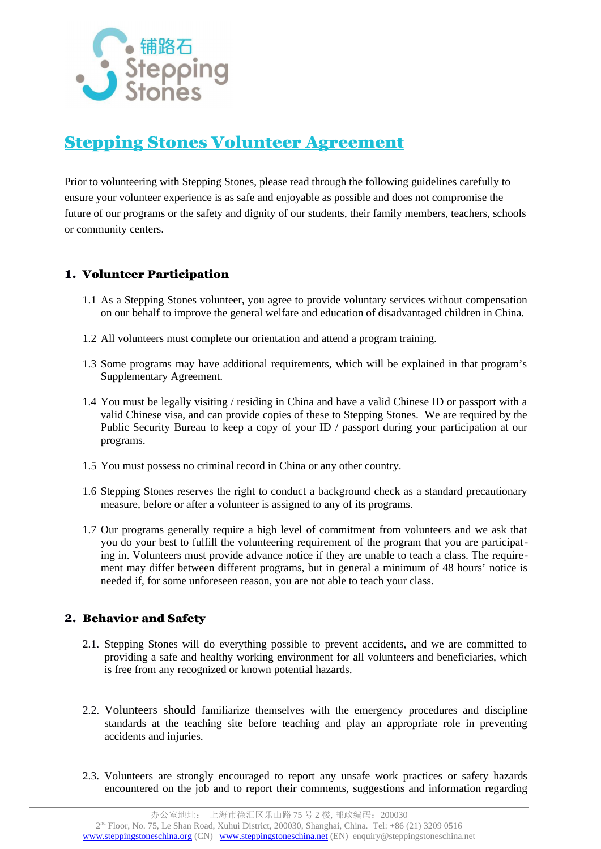

# Stepping Stones Volunteer Agreement

Prior to volunteering with Stepping Stones, please read through the following guidelines carefully to ensure your volunteer experience is as safe and enjoyable as possible and does not compromise the future of our programs or the safety and dignity of our students, their family members, teachers, schools or community centers.

## 1. Volunteer Participation

- 1.1 As a Stepping Stones volunteer, you agree to provide voluntary services without compensation on our behalf to improve the general welfare and education of disadvantaged children in China.
- 1.2 All volunteers must complete our orientation and attend a program training.
- 1.3 Some programs may have additional requirements, which will be explained in that program's Supplementary Agreement.
- 1.4 You must be legally visiting / residing in China and have a valid Chinese ID or passport with a valid Chinese visa, and can provide copies of these to Stepping Stones. We are required by the Public Security Bureau to keep a copy of your ID / passport during your participation at our programs.
- 1.5 You must possess no criminal record in China or any other country.
- 1.6 Stepping Stones reserves the right to conduct a background check as a standard precautionary measure, before or after a volunteer is assigned to any of its programs.
- 1.7 Our programs generally require a high level of commitment from volunteers and we ask that you do your best to fulfill the volunteering requirement of the program that you are participating in. Volunteers must provide advance notice if they are unable to teach a class. The requirement may differ between different programs, but in general a minimum of 48 hours' notice is needed if, for some unforeseen reason, you are not able to teach your class.

## 2. Behavior and Safety

- 2.1. Stepping Stones will do everything possible to prevent accidents, and we are committed to providing a safe and healthy working environment for all volunteers and beneficiaries, which is free from any recognized or known potential hazards.
- 2.2. Volunteers should familiarize themselves with the emergency procedures and discipline standards at the teaching site before teaching and play an appropriate role in preventing accidents and injuries.
- 2.3. Volunteers are strongly encouraged to report any unsafe work practices or safety hazards encountered on the job and to report their comments, suggestions and information regarding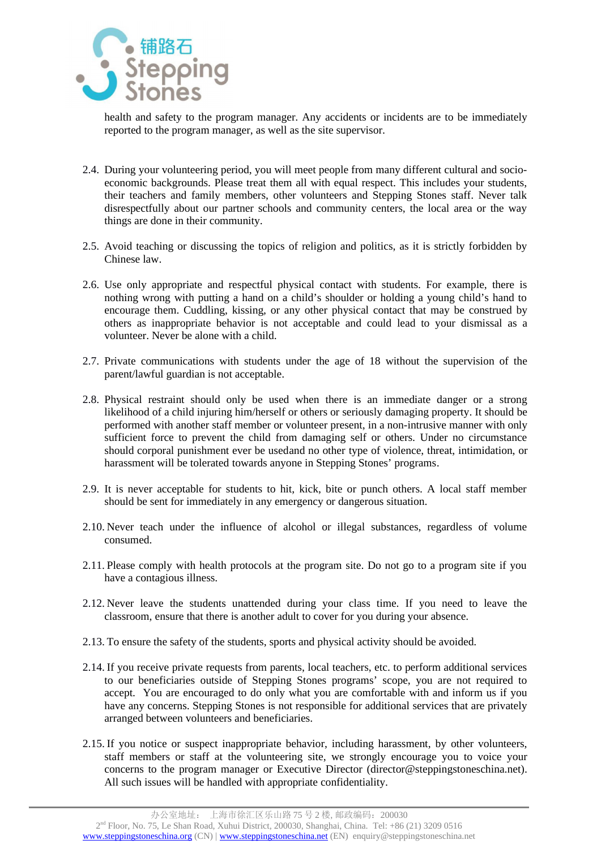

health and safety to the program manager. Any accidents or incidents are to be immediately reported to the program manager, as well as the site supervisor.

- 2.4. During your volunteering period, you will meet people from many different cultural and socioeconomic backgrounds. Please treat them all with equal respect. This includes your students, their teachers and family members, other volunteers and Stepping Stones staff. Never talk disrespectfully about our partner schools and community centers, the local area or the way things are done in their community.
- 2.5. Avoid teaching or discussing the topics of religion and politics, as it is strictly forbidden by Chinese law.
- 2.6. Use only appropriate and respectful physical contact with students. For example, there is nothing wrong with putting a hand on a child's shoulder or holding a young child's hand to encourage them. Cuddling, kissing, or any other physical contact that may be construed by others as inappropriate behavior is not acceptable and could lead to your dismissal as a volunteer. Never be alone with a child.
- 2.7. Private communications with students under the age of 18 without the supervision of the parent/lawful guardian is not acceptable.
- 2.8. Physical restraint should only be used when there is an immediate danger or a strong likelihood of a child injuring him/herself or others or seriously damaging property. It should be performed with another staff member or volunteer present, in a non-intrusive manner with only sufficient force to prevent the child from damaging self or others. Under no circumstance should corporal punishment ever be usedand no other type of violence, threat, intimidation, or harassment will be tolerated towards anyone in Stepping Stones' programs.
- 2.9. It is never acceptable for students to hit, kick, bite or punch others. A local staff member should be sent for immediately in any emergency or dangerous situation.
- 2.10. Never teach under the influence of alcohol or illegal substances, regardless of volume consumed.
- 2.11. Please comply with health protocols at the program site. Do not go to a program site if you have a contagious illness.
- 2.12. Never leave the students unattended during your class time. If you need to leave the classroom, ensure that there is another adult to cover for you during your absence.
- 2.13. To ensure the safety of the students, sports and physical activity should be avoided.
- 2.14. If you receive private requests from parents, local teachers, etc. to perform additional services to our beneficiaries outside of Stepping Stones programs' scope, you are not required to accept. You are encouraged to do only what you are comfortable with and inform us if you have any concerns. Stepping Stones is not responsible for additional services that are privately arranged between volunteers and beneficiaries.
- 2.15. If you notice or suspect inappropriate behavior, including harassment, by other volunteers, staff members or staff at the volunteering site, we strongly encourage you to voice your concerns to the program manager or Executive Director (director $(\partial$ steppingstoneschina.net). All such issues will be handled with appropriate confidentiality.